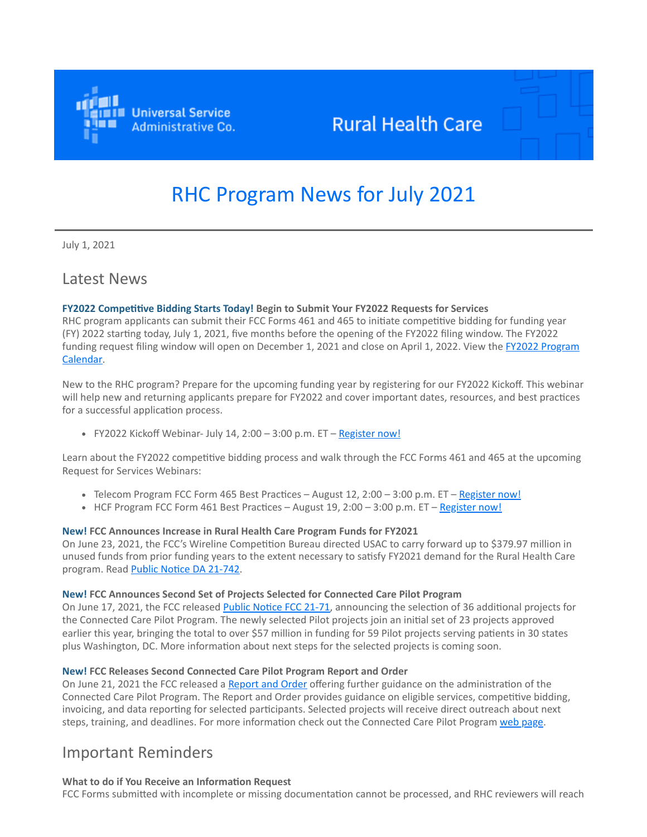

## **Rural Health Care**

# RHC Program News for July 2021

July 1, 2021

### Latest News

#### **FY2022 Competitive Bidding Starts Today! Begin to Submit Your FY2022 Requests for Services**

RHC program applicants can submit their FCC Forms 461 and 465 to initiate competitive bidding for funding year (FY) 2022 starting today, July 1, 2021, five months before the opening of the FY2022 filing window. The FY2022 [funding request filing window will open on December 1, 2021 and close on April 1, 2022. View the FY2022 Program](https://click.outreach.usac.org/?qs=e9424db2305b57185be43a87d276ffa200c9aa1a3dd374e80703454e28b28135cf2892370e64ecdeb2ac9313e4c89c81ff5dd6b3976d24e6) Calendar.

New to the RHC program? Prepare for the upcoming funding year by registering for our FY2022 Kickoff. This webinar will help new and returning applicants prepare for FY2022 and cover important dates, resources, and best practices for a successful application process.

FY2022 Kickoff Webinar- July 14, 2:00 – 3:00 p.m.  $ET - Register now!$  $ET - Register now!$ 

Learn about the FY2022 competitive bidding process and walk through the FCC Forms 461 and 465 at the upcoming Request for Services Webinars:

- Telecom Program FCC Form 465 Best Practices August 12, 2:00 3:00 p.m.  $ET Register now!$  $ET Register now!$
- HCF Program FCC Form 461 Best Practices August  $19$ ,  $2:00 3:00$  p.m. ET [Register now!](https://click.outreach.usac.org/?qs=e9424db2305b57186bc92afcfe36dd66357cf5bdb7ec2907cd93948a137ea28a0f35f5e938014fa8e02a447377e8d8208064cfa721d0e4a8)

#### **New! FCC Announces Increase in Rural Health Care Program Funds for FY2021**

On June 23, 2021, the FCC's Wireline Competition Bureau directed USAC to carry forward up to \$379.97 million in unused funds from prior funding years to the extent necessary to satisfy FY2021 demand for the Rural Health Care program. Read **[Public Notice DA 21-742.](https://click.outreach.usac.org/?qs=e9424db2305b5718d2de0d070b51d82b87d3e5d570209081d81d296d628c11ac759b1f578faf4b23c258ca3f2017d09b1f8e3b5538cf59a8)** 

#### **New! FCC Announces Second Set of Projects Selected for Connected Care Pilot Program**

On June 17, 2021, the FCC released [Public Notice FCC 21-71](https://click.outreach.usac.org/?qs=e9424db2305b571801e718bc713c1152835d508b8eaeb31b2c93d87c252f1df64764eb90a980a6d63b52799aa5c72bcf1da53fb2321138ca), announcing the selection of 36 additional projects for the Connected Care Pilot Program. The newly selected Pilot projects join an initial set of 23 projects approved earlier this year, bringing the total to over \$57 million in funding for 59 Pilot projects serving patients in 30 states plus Washington, DC. More information about next steps for the selected projects is coming soon.

#### **New! FCC Releases Second Connected Care Pilot Program Report and Order**

On June 21, 2021 the FCC released a [Report and Order](https://click.outreach.usac.org/?qs=e9424db2305b571841c67b7cbd0c327992e659fa53577f38d2b7f9bd7918e048c3e8cf97ed1fc0d665b28013fb2c3f2f2a6925ab99c39096) offering further guidance on the administration of the Connected Care Pilot Program. The Report and Order provides guidance on eligible services, competitive bidding, invoicing, and data reporting for selected participants. Selected projects will receive direct outreach about next steps, training, and deadlines. For more information check out the Connected Care Pilot Program [web page](https://click.outreach.usac.org/?qs=e9424db2305b5718b9003dd60fc0abe29a9f5917178bea0dd4e91d6be03a9d195a021e6e43b9cfaabd5ea85fcef3020e24b9c4cd997e5635).

### Important Reminders

**What to do if You Receive an Information Request** FCC Forms submitted with incomplete or missing documentation cannot be processed, and RHC reviewers will reach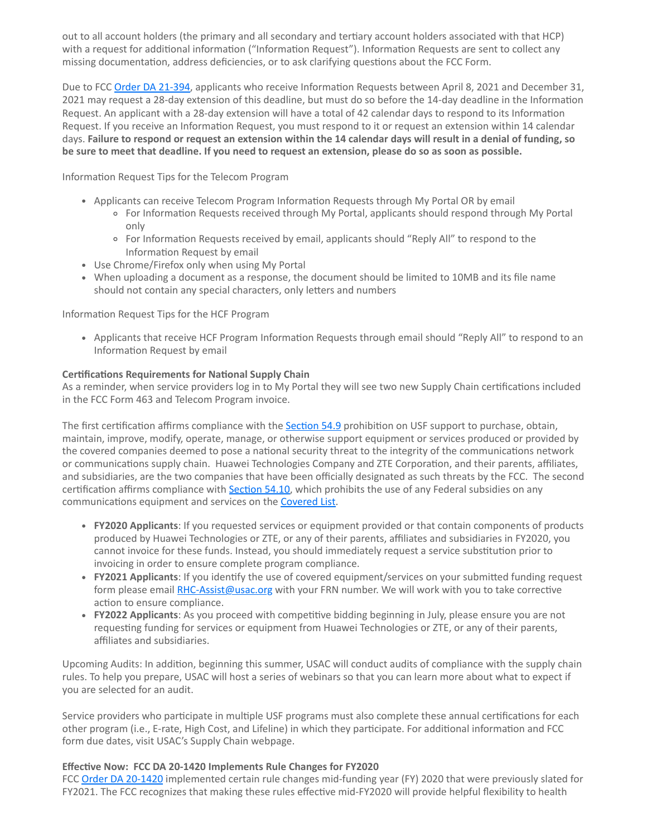out to all account holders (the primary and all secondary and tertiary account holders associated with that HCP) with a request for additional information ("Information Request"). Information Requests are sent to collect any missing documentation, address deficiencies, or to ask clarifying questions about the FCC Form.

Due to FCC [Order DA 21-394](https://click.outreach.usac.org/?qs=e9424db2305b5718613bc7cc6cee1fa667790351a83b1a73432165020f3b9c8981e290eb3fa42a958d5aeb3970b038d349be56c84ca14b38), applicants who receive Information Requests between April 8, 2021 and December 31, 2021 may request a 28-day extension of this deadline, but must do so before the 14-day deadline in the Information Request. An applicant with a 28-day extension will have a total of 42 calendar days to respond to its Information Request. If you receive an Information Request, you must respond to it or request an extension within 14 calendar days. **Failure to respond or request an extension within the 14 calendar days will result in a denial of funding, so be sure to meet that deadline. If you need to request an extension, please do so as soon as possible.**

Information Request Tips for the Telecom Program

- Applicants can receive Telecom Program Information Requests through My Portal OR by email
	- For Information Requests received through My Portal, applicants should respond through My Portal only
	- For Information Requests received by email, applicants should "Reply All" to respond to the Information Request by email
- Use Chrome/Firefox only when using My Portal
- When uploading a document as a response, the document should be limited to 10MB and its file name should not contain any special characters, only letters and numbers

Information Request Tips for the HCF Program

Applicants that receive HCF Program Information Requests through email should "Reply All" to respond to an Information Request by email

#### **Certifications Requirements for National Supply Chain**

As a reminder, when service providers log in to My Portal they will see two new Supply Chain certifications included in the FCC Form 463 and Telecom Program invoice.

The first certification affirms compliance with the [Section 54.9](https://click.outreach.usac.org/?qs=e9424db2305b57186f4682b0d42ff6948f4e1c25feb77c4f8f5914364650d881cb18beb55e81344b88e4166eefb5fb05be284b87010dd809) prohibition on USF support to purchase, obtain, maintain, improve, modify, operate, manage, or otherwise support equipment or services produced or provided by the covered companies deemed to pose a national security threat to the integrity of the communications network or communications supply chain. Huawei Technologies Company and ZTE Corporation, and their parents, affiliates, and subsidiaries, are the two companies that have been officially designated as such threats by the FCC. The second certification affirms compliance with [Section 54.10](https://click.outreach.usac.org/?qs=e9424db2305b57186edf24b200a1f20657838b9ce565cc89a81313361656350a1315c25a18f1b7dc0a092ddab6a76b9a006a6f4e29394139), which prohibits the use of any Federal subsidies on any communications equipment and services on the **Covered List**.

- **FY2020 Applicants**: If you requested services or equipment provided or that contain components of products produced by Huawei Technologies or ZTE, or any of their parents, affiliates and subsidiaries in FY2020, you cannot invoice for these funds. Instead, you should immediately request a service substitution prior to invoicing in order to ensure complete program compliance.
- **FY2021 Applicants**: If you identify the use of covered equipment/services on your submitted funding request form please email [RHC-Assist@usac.org](mailto:RHC-Assist@usac.org?subject=) with your FRN number. We will work with you to take corrective action to ensure compliance.
- **FY2022 Applicants**: As you proceed with competitive bidding beginning in July, please ensure you are not requesting funding for services or equipment from Huawei Technologies or ZTE, or any of their parents, affiliates and subsidiaries.

Upcoming Audits: In addition, beginning this summer, USAC will conduct audits of compliance with the supply chain rules. To help you prepare, USAC will host a series of webinars so that you can learn more about what to expect if you are selected for an audit.

Service providers who participate in multiple USF programs must also complete these annual certifications for each other program (i.e., E-rate, High Cost, and Lifeline) in which they participate. For additional information and FCC form due dates, visit USAC's Supply Chain webpage.

#### **Effective Now: FCC DA 20-1420 Implements Rule Changes for FY2020**

FCC [Order DA 20-1420](https://click.outreach.usac.org/?qs=e9424db2305b57189f26f0d8f0e680feaec4e2962f7e0b7afa8be5dead39e3a048db42ad266cbba5f76b31ec71e3c077401e52418457c478) implemented certain rule changes mid-funding year (FY) 2020 that were previously slated for FY2021. The FCC recognizes that making these rules effective mid-FY2020 will provide helpful flexibility to health